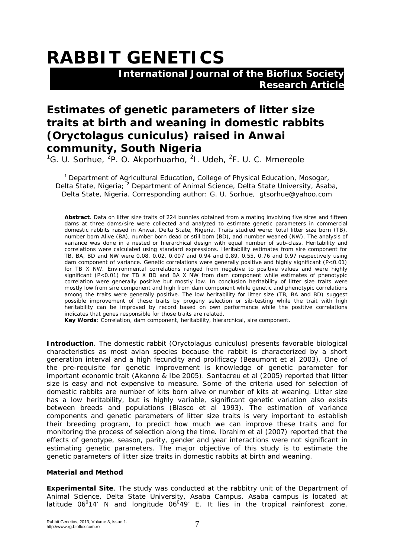# **RABBIT GENETICS**

 **International Journal of the Bioflux Society Research Article**

# **Estimates of genetic parameters of litter size traits at birth and weaning in domestic rabbits (***Oryctolagus cuniculus***) raised in Anwai community, South Nigeria**

<sup>1</sup>G. U. Sorhue, <sup>2</sup>P. O. Akporhuarho, <sup>2</sup>I. Udeh, <sup>2</sup>F. U. C. Mmereole

<sup>1</sup> Department of Agricultural Education, College of Physical Education, Mosogar, Delta State, Nigeria; <sup>2</sup> Department of Animal Science, Delta State University, Asaba, Delta State, Nigeria. Corresponding author: G. U. Sorhue, gtsorhue@yahoo.com

**Abstract**. Data on litter size traits of 224 bunnies obtained from a mating involving five sires and fifteen dams at three dams/sire were collected and analyzed to estimate genetic parameters in commercial domestic rabbits raised in Anwai, Delta State, Nigeria. Traits studied were: total litter size born (TB), number born Alive (BA), number born dead or still born (BD), and number weaned (NW). The analysis of variance was done in a nested or hierarchical design with equal number of sub-class. Heritability and correlations were calculated using standard expressions. Heritability estimates from sire component for TB, BA, BD and NW were 0.08, 0.02, 0.007 and 0.94 and 0.89, 0.55, 0.76 and 0.97 respectively using dam component of variance. Genetic correlations were generally positive and highly significant (P<0.01) for TB X NW. Environmental correlations ranged from negative to positive values and were highly significant (P<0.01) for TB X BD and BA X NW from dam component while estimates of phenotypic correlation were generally positive but mostly low. In conclusion heritability of litter size traits were mostly low from sire component and high from dam component while genetic and phenotypic correlations among the traits were generally positive. The low heritability for litter size (TB, BA and BD) suggest possible improvement of these traits by progeny selection or sib-testing while the trait with high heritability can be improved by record based on own performance while the positive correlations indicates that genes responsible for those traits are related.

**Key Words**: Correlation, dam component, heritability, hierarchical, sire component.

**Introduction**. The domestic rabbit (*Oryctolagus cuniculus)* presents favorable biological characteristics as most avian species because the rabbit is characterized by a short generation interval and a high fecundity and prolificacy (Beaumont et al 2003). One of the pre-requisite for genetic improvement is knowledge of genetic parameter for important economic trait (Akanno & Ibe 2005). Santacreu et al (2005) reported that litter size is easy and not expensive to measure. Some of the criteria used for selection of domestic rabbits are number of kits born alive or number of kits at weaning. Litter size has a low heritability, but is highly variable, significant genetic variation also exists between breeds and populations (Blasco et al 1993). The estimation of variance components and genetic parameters of litter size traits is very important to establish their breeding program, to predict how much we can improve these traits and for monitoring the process of selection along the time. Ibrahim et al (2007) reported that the effects of genotype, season, parity, gender and year interactions were not significant in estimating genetic parameters. The major objective of this study is to estimate the genetic parameters of litter size traits in domestic rabbits at birth and weaning.

# **Material and Method**

**Experimental Site**. The study was conducted at the rabbitry unit of the Department of Animal Science, Delta State University, Asaba Campus. Asaba campus is located at latitude  $06^014'$  N and longitude  $06^049'$  E. It lies in the tropical rainforest zone,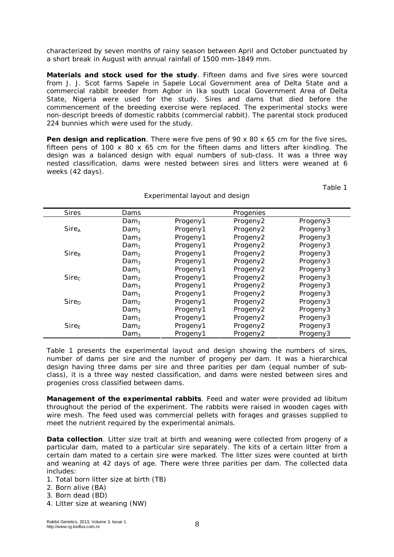characterized by seven months of rainy season between April and October punctuated by a short break in August with annual rainfall of 1500 mm-1849 mm.

*Materials and stock used for the study*. Fifteen dams and five sires were sourced from J. J. Scot farms Sapele in Sapele Local Government area of Delta State and a commercial rabbit breeder from Agbor in Ika south Local Government Area of Delta State, Nigeria were used for the study. Sires and dams that died before the commencement of the breeding exercise were replaced. The experimental stocks were non-descript breeds of domestic rabbits (commercial rabbit). The parental stock produced 224 bunnies which were used for the study.

**Pen design and replication**. There were five pens of 90 x 80 x 65 cm for the five sires, fifteen pens of  $100 \times 80 \times 65$  cm for the fifteen dams and litters after kindling. The design was a balanced design with equal numbers of sub-class. It was a three way nested classification, dams were nested between sires and litters were weaned at 6 weeks (42 days).

Experimental layout and design

Table 1

| <b>Sires</b>             | Dams             |          | Progenies |          |
|--------------------------|------------------|----------|-----------|----------|
|                          | Dam <sub>1</sub> | Progeny1 | Progeny2  | Progeny3 |
| $Sire_A$                 | Dam <sub>2</sub> | Progeny1 | Progeny2  | Progeny3 |
|                          | Dam <sub>3</sub> | Progeny1 | Progeny2  | Progeny3 |
|                          | Dam <sub>1</sub> | Progeny1 | Progeny2  | Progeny3 |
| <b>Sire</b> <sub>R</sub> | Dam <sub>2</sub> | Progeny1 | Progeny2  | Progeny3 |
|                          | Dam <sub>3</sub> | Progeny1 | Progeny2  | Progeny3 |
|                          | Dam <sub>1</sub> | Progeny1 | Progeny2  | Progeny3 |
| Sire <sub>c</sub>        | Dam <sub>2</sub> | Progeny1 | Progeny2  | Progeny3 |
|                          | Dam <sub>3</sub> | Progeny1 | Progeny2  | Progeny3 |
|                          | Dam <sub>1</sub> | Progeny1 | Progeny2  | Progeny3 |
| Sire <sub>D</sub>        | Dam <sub>2</sub> | Progeny1 | Progeny2  | Progeny3 |
|                          | Dam <sub>3</sub> | Progeny1 | Progeny2  | Progeny3 |
|                          | Dam <sub>1</sub> | Progeny1 | Progeny2  | Progeny3 |
| Sire <sub>E</sub>        | Dam <sub>2</sub> | Progeny1 | Progeny2  | Progeny3 |
|                          | Dam <sub>3</sub> | Progeny1 | Progeny2  | Progeny3 |

Table 1 presents the experimental layout and design showing the numbers of sires, number of dams per sire and the number of progeny per dam. It was a hierarchical design having three dams per sire and three parities per dam (equal number of subclass), it is a three way nested classification, and dams were nested between sires and progenies cross classified between dams.

*Management of the experimental rabbits*. Feed and water were provided *ad libitum* throughout the period of the experiment. The rabbits were raised in wooden cages with wire mesh. The feed used was commercial pellets with forages and grasses supplied to meet the nutrient required by the experimental animals.

**Data collection**. Litter size trait at birth and weaning were collected from progeny of a particular dam, mated to a particular sire separately. The kits of a certain litter from a certain dam mated to a certain sire were marked. The litter sizes were counted at birth and weaning at 42 days of age. There were three parities per dam. The collected data includes:

- 1. Total born litter size at birth (TB)
- 2. Born alive (BA)
- 3. Born dead (BD)
- 4. Litter size at weaning (NW)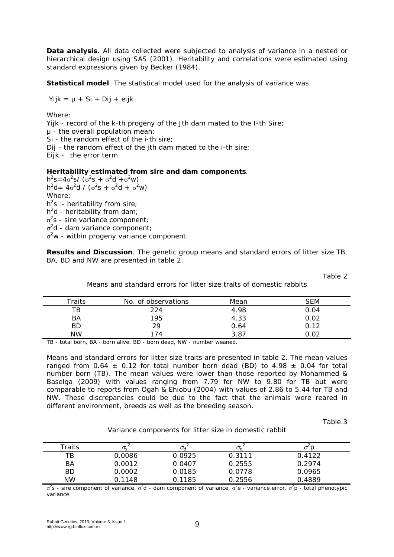*Data analysis*. All data collected were subjected to analysis of variance in a nested or hierarchical design using SAS (2001). Heritability and correlations were estimated using standard expressions given by Becker (1984).

*Statistical model*. The statistical model used for the analysis of variance was

 $Yijk = \mu + Si + Dij + eijk$ 

Where:

Yijk - record of the k-th progeny of the Jth dam mated to the I-th Sire; µ - the overall population mean; Si - the random effect of the i-th sire; Dij - the random effect of the jth dam mated to the i-th sire; Eijk - the error term.

# *Heritability estimated from sire and dam components*.

 $h^2 s = 4\sigma^2 s / (\sigma^2 s + \sigma^2 d + \sigma^2 w)$  $h^2 d = 4\sigma^2 d / (\sigma^2 s + \sigma^2 d + \sigma^2 w)$ Where:  $h<sup>2</sup>s$  - heritability from sire;  $h^2$ d - heritability from dam;  $\sigma^2$ s - sire variance component;  $\sigma^2$ d - dam variance component;  $\sigma^2$ w - within progeny variance component.

**Results and Discussion**. The genetic group means and standard errors of litter size TB, BA, BD and NW are presented in table 2.

Table 2

Means and standard errors for litter size traits of domestic rabbits

| $\tau$ raits | No. of observations | Mean | <i>SEM</i> |
|--------------|---------------------|------|------------|
| TВ           | 224                 | 4.98 | 0.04       |
| ΒA           | 195                 | 4.33 | 0.02       |
| ВD           | 29                  | 0.64 | 0.12       |
| <b>NW</b>    | 74                  | 3.87 | റാ         |

TB - total born, BA - born alive, BD - born dead, NW - number weaned.

Means and standard errors for litter size traits are presented in table 2. The mean values ranged from 0.64  $\pm$  0.12 for total number born dead (BD) to 4.98  $\pm$  0.04 for total number born (TB). The mean values were lower than those reported by Mohammed & Baselga (2009) with values ranging from 7.79 for NW to 9.80 for TB but were comparable to reports from Ogah & Ehiobu (2004) with values of 2.86 to 5.44 for TB and NW. These discrepancies could be due to the fact that the animals were reared in different environment, breeds as well as the breeding season.

Table 3

Variance components for litter size in domestic rabbit

| Traits    | $\sigma_{\rm c}$ | $\sigma_{d}$ | $\sigma_{\scriptscriptstyle\ominus}$ | ◡      |
|-----------|------------------|--------------|--------------------------------------|--------|
| ТB        | 0.0086           | 0.0925       | 0.3111                               | 0.4122 |
| BA        | 0.0012           | 0.0407       | 0.2555                               | 0.2974 |
| <b>BD</b> | 0.0002           | 0.0185       | 0.0778                               | 0.0965 |
| <b>NW</b> | 0.1148           | 0.1185       | 0.2556                               | 0.4889 |

 $\sigma^2$ s - sire component of variance,  $\sigma^2$ d - dam component of variance,  $\sigma^2$ e - variance error,  $\sigma^2$ p - total phenotypic variance.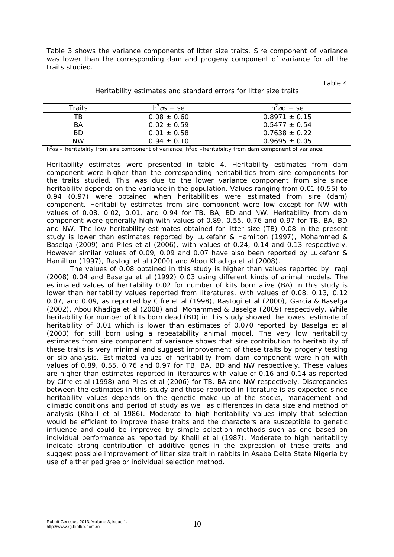Table 3 shows the variance components of litter size traits. Sire component of variance was lower than the corresponding dam and progeny component of variance for all the traits studied.

Table 4

| Traits    | $h^2 \sigma s + s e$ | $h^2 \sigma d + s e$ |
|-----------|----------------------|----------------------|
| TВ        | $0.08 \pm 0.60$      | $0.8971 \pm 0.15$    |
| <b>BA</b> | $0.02 \pm 0.59$      | $0.5477 + 0.54$      |
| <b>BD</b> | $0.01 \pm 0.58$      | $0.7638 + 0.22$      |
| <b>NW</b> | $0.94 \pm 0.10$      | $0.9695 \pm 0.05$    |

### Heritability estimates and standard errors for litter size traits

 $h^2$ <sub>os</sub> – heritability from sire component of variance,  $h^2$ <sub>od</sub> – heritability from dam component of variance.

Heritability estimates were presented in table 4. Heritability estimates from dam component were higher than the corresponding heritabilities from sire components for the traits studied. This was due to the lower variance component from sire since heritability depends on the variance in the population. Values ranging from 0.01 (0.55) to 0.94 (0.97) were obtained when heritabilities were estimated from sire (dam) component. Heritability estimates from sire component were low except for NW with values of 0.08, 0.02, 0.01, and 0.94 for TB, BA, BD and NW. Heritability from dam component were generally high with values of 0.89, 0.55, 0.76 and 0.97 for TB, BA, BD and NW. The low heritability estimates obtained for litter size (TB) 0.08 in the present study is lower than estimates reported by Lukefahr & Hamilton (1997), Mohammed & Baselga (2009) and Piles et al (2006), with values of 0.24, 0.14 and 0.13 respectively. However similar values of 0.09, 0.09 and 0.07 have also been reported by Lukefahr & Hamilton (1997), Rastogi et al (2000) and Abou Khadiga et al (2008).

The values of 0.08 obtained in this study is higher than values reported by Iraqi (2008) 0.04 and Baselga et al (1992) 0.03 using different kinds of animal models. The estimated values of heritability 0.02 for number of kits born alive (BA) in this study is lower than heritability values reported from literatures, with values of 0.08, 0.13, 0.12 0.07, and 0.09, as reported by Cifre et al (1998), Rastogi et al (2000), Garcia & Baselga (2002), Abou Khadiga et al (2008) and Mohammed & Baselga (2009) respectively. While heritability for number of kits born dead (BD) in this study showed the lowest estimate of heritability of 0.01 which is lower than estimates of 0.070 reported by Baselga et al (2003) for still born using a repeatability animal model. The very low heritability estimates from sire component of variance shows that sire contribution to heritability of these traits is very minimal and suggest improvement of these traits by progeny testing or sib-analysis. Estimated values of heritability from dam component were high with values of 0.89, 0.55, 0.76 and 0.97 for TB, BA, BD and NW respectively. These values are higher than estimates reported in literatures with value of 0.16 and 0.14 as reported by Cifre et al (1998) and Piles et al (2006) for TB, BA and NW respectively. Discrepancies between the estimates in this study and those reported in literature is as expected since heritability values depends on the genetic make up of the stocks, management and climatic conditions and period of study as well as differences in data size and method of analysis (Khalil et al 1986). Moderate to high heritability values imply that selection would be efficient to improve these traits and the characters are susceptible to genetic influence and could be improved by simple selection methods such as one based on individual performance as reported by Khalil et al (1987). Moderate to high heritability indicate strong contribution of additive genes in the expression of these traits and suggest possible improvement of litter size trait in rabbits in Asaba Delta State Nigeria by use of either pedigree or individual selection method.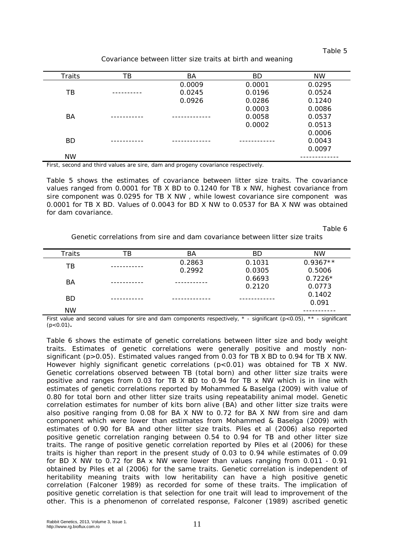Table 5

| Covariance between litter size traits at birth and weaning |  |
|------------------------------------------------------------|--|
|------------------------------------------------------------|--|

| <b>Traits</b> | TВ | ВA     | BD     | NW     |
|---------------|----|--------|--------|--------|
|               |    | 0.0009 | 0.0001 | 0.0295 |
| TΒ            |    | 0.0245 | 0.0196 | 0.0524 |
|               |    | 0.0926 | 0.0286 | 0.1240 |
|               |    |        | 0.0003 | 0.0086 |
| BA            |    |        | 0.0058 | 0.0537 |
|               |    |        | 0.0002 | 0.0513 |
|               |    |        |        | 0.0006 |
| <b>BD</b>     |    |        |        | 0.0043 |
|               |    |        |        | 0.0097 |
| <b>NW</b>     |    |        |        |        |

First, second and third values are sire, dam and progeny covariance respectively.

Table 5 shows the estimates of covariance between litter size traits. The covariance values ranged from 0.0001 for TB X BD to 0.1240 for TB x NW, highest covariance from sire component was 0.0295 for TB X NW , while lowest covariance sire component was 0.0001 for TB X BD. Values of 0.0043 for BD X NW to 0.0537 for BA X NW was obtained for dam covariance.

Table 6

Genetic correlations from sire and dam covariance between litter size traits

| ТB | ΒA     | <b>BD</b> | <b>NW</b>  |
|----|--------|-----------|------------|
|    | 0.2863 | 0.1031    | $0.9367**$ |
|    | 0.2992 | 0.0305    | 0.5006     |
|    |        | 0.6693    | $0.7226*$  |
|    |        | 0.2120    | 0.0773     |
|    |        |           | 0.1402     |
|    |        |           | 0.091      |
|    |        |           |            |
|    |        |           |            |

First value and second values for sire and dam components respectively,  $*$  - significant (p<0.05),  $**$  - significant (p<0.01)**.**

Table 6 shows the estimate of genetic correlations between litter size and body weight traits. Estimates of genetic correlations were generally positive and mostly nonsignificant (p>0.05). Estimated values ranged from 0.03 for TB X BD to 0.94 for TB X NW. However highly significant genetic correlations (p<0.01) was obtained for TB X NW. Genetic correlations observed between TB (total born) and other litter size traits were positive and ranges from 0.03 for TB X BD to 0.94 for TB x NW which is in line with estimates of genetic correlations reported by Mohammed & Baselga (2009) with value of 0.80 for total born and other litter size traits using repeatability animal model. Genetic correlation estimates for number of kits born alive (BA) and other litter size traits were also positive ranging from 0.08 for BA X NW to 0.72 for BA X NW from sire and dam component which were lower than estimates from Mohammed & Baselga (2009) with estimates of 0.90 for BA and other litter size traits. Piles et al (2006) also reported positive genetic correlation ranging between 0.54 to 0.94 for TB and other litter size traits. The range of positive genetic correlation reported by Piles et al (2006) for these traits is higher than report in the present study of 0.03 to 0.94 while estimates of 0.09 for BD X NW to 0.72 for BA x NW were lower than values ranging from 0.011 - 0.91 obtained by Piles et al (2006) for the same traits. Genetic correlation is independent of heritability meaning traits with low heritability can have a high positive genetic correlation (Falconer 1989) as recorded for some of these traits. The implication of positive genetic correlation is that selection for one trait will lead to improvement of the other. This is a phenomenon of correlated response, Falconer (1989) ascribed genetic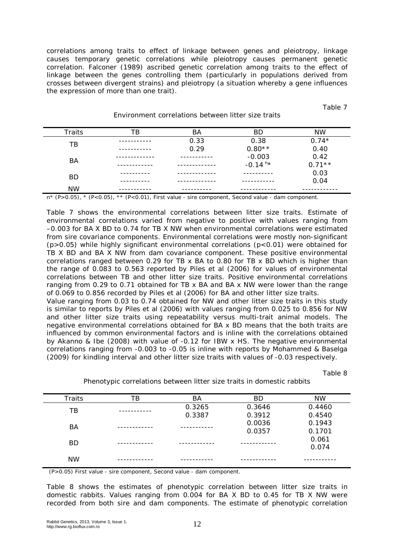correlations among traits to effect of linkage between genes and pleiotropy, linkage causes temporary genetic correlations while pleiotropy causes permanent genetic correlation. Falconer (1989) ascribed genetic correlation among traits to the effect of linkage between the genes controlling them (particularly in populations derived from crosses between divergent strains) and pleiotropy (a situation whereby a gene influences the expression of more than one trait).

| <b>Traits</b> | ΤB       | ΒA   | <b>BD</b>             | NW       |
|---------------|----------|------|-----------------------|----------|
| ТB            |          | 0.33 | 0.38                  | $0.74*$  |
|               | -------- | 0.29 | $0.80**$              | 0.40     |
| BA            |          |      | $-0.003$              | 0.42     |
|               |          |      | $-0.14$ <sup>n*</sup> | $0.71**$ |
| <b>BD</b>     |          |      |                       | 0.03     |
|               |          |      |                       | 0.04     |
| <b>NW</b>     |          |      |                       |          |

### Environment correlations between litter size traits

n\* (P>0.05), \* (P<0.05), \*\* (P<0.01), First value - sire component, Second value - dam component.

Table 7 shows the environmental correlations between litter size traits. Estimate of environmental correlations varied from negative to positive with values ranging from –0.003 for BA X BD to 0.74 for TB X NW when environmental correlations were estimated from sire covariance components. Environmental correlations were mostly non-significant  $(p>0.05)$  while highly significant environmental correlations  $(p<0.01)$  were obtained for TB X BD and BA X NW from dam covariance component. These positive environmental correlations ranged between 0.29 for TB x BA to 0.80 for TB x BD which is higher than the range of 0.083 to 0.563 reported by Piles et al (2006) for values of environmental correlations between TB and other litter size traits. Positive environmental correlations ranging from 0.29 to 0.71 obtained for TB x BA and BA x NW were lower than the range of 0.069 to 0.856 recorded by Piles et al (2006) for BA and other litter size traits. Value ranging from 0.03 to 0.74 obtained for NW and other litter size traits in this study is similar to reports by Piles et al (2006) with values ranging from 0.025 to 0.856 for NW and other litter size traits using repeatability versus multi-trait animal models. The negative environmental correlations obtained for BA x BD means that the both traits are influenced by common environmental factors and is inline with the correlations obtained by Akanno & Ibe (2008) with value of -0.12 for IBW x HS. The negative environmental correlations ranging from -0.003 to -0.05 is inline with reports by Mohammed & Baselga (2009) for kindling interval and other litter size traits with values of -0.03 respectively.

Table 8

Table 7

| <b>Traits</b> | ТB | ВA     | ВD     | <b>NW</b> |
|---------------|----|--------|--------|-----------|
| ТB            |    | 0.3265 | 0.3646 | 0.4460    |
|               |    | 0.3387 | 0.3912 | 0.4540    |
| BA            |    |        | 0.0036 | 0.1943    |
|               |    |        | 0.0357 | 0.1701    |
| <b>BD</b>     |    |        |        | 0.061     |
|               |    |        |        | 0.074     |
| <b>NW</b>     |    |        |        |           |
|               |    |        |        |           |

Phenotypic correlations between litter size traits in domestic rabbits

(P>0.05) First value - sire component, Second value - dam component.

Table 8 shows the estimates of phenotypic correlation between litter size traits in domestic rabbits. Values ranging from 0.004 for BA X BD to 0.45 for TB X NW were recorded from both sire and dam components. The estimate of phenotypic correlation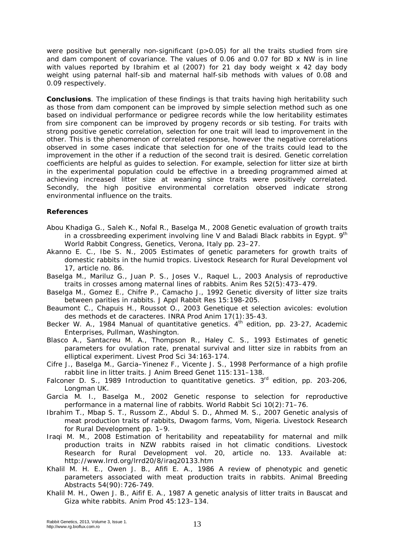were positive but generally non-significant (p>0.05) for all the traits studied from sire and dam component of covariance. The values of 0.06 and 0.07 for BD x NW is in line with values reported by Ibrahim et al (2007) for 21 day body weight x 42 day body weight using paternal half-sib and maternal half-sib methods with values of 0.08 and 0.09 respectively.

**Conclusions**. The implication of these findings is that traits having high heritability such as those from dam component can be improved by simple selection method such as one based on individual performance or pedigree records while the low heritability estimates from sire component can be improved by progeny records or sib testing. For traits with strong positive genetic correlation, selection for one trait will lead to improvement in the other. This is the phenomenon of correlated response, however the negative correlations observed in some cases indicate that selection for one of the traits could lead to the improvement in the other if a reduction of the second trait is desired. Genetic correlation coefficients are helpful as guides to selection. For example, selection for litter size at birth in the experimental population could be effective in a breeding programmed aimed at achieving increased litter size at weaning since traits were positively correlated. Secondly, the high positive environmental correlation observed indicate strong environmental influence on the traits.

# **References**

- Abou Khadiga G., Saleh K., Nofal R., Baselga M., 2008 Genetic evaluation of growth traits in a crossbreeding experiment involving line V and Baladi Black rabbits in Egypt.  $9<sup>th</sup>$ World Rabbit Congress, Genetics, Verona, Italy pp. 23–27.
- Akanno E. C., Ibe S. N., 2005 Estimates of genetic parameters for growth traits of domestic rabbits in the humid tropics. Livestock Research for Rural Development vol 17, article no. 86.
- Baselga M., Mariluz G., Juan P. S., Joses V., Raquel L., 2003 Analysis of reproductive traits in crosses among maternal lines of rabbits. Anim Res 52(5):473–479.
- Baselga M., Gomez E., Chifre P., Camacho J., 1992 Genetic diversity of litter size traits between parities in rabbits. J Appl Rabbit Res 15:198-205.
- Beaumont C., Chapuis H., Roussot O., 2003 Genetique et selection avicoles: evolution des methods et de caracteres. INRA Prod Anim 17(1):35-43.
- Becker W. A., 1984 Manual of quantitative genetics. 4<sup>th</sup> edition, pp. 23-27, Academic Enterprises*,* Pullman, Washington.
- Blasco A., Santacreu M. A., Thompson R., Haley C. S., 1993 Estimates of genetic parameters for ovulation rate, prenatal survival and litter size in rabbits from an elliptical experiment. Livest Prod Sci 34:163-174.
- Cifre J., Baselga M., Garcia–Yinenez F., Vicente J. S., 1998 Performance of a high profile rabbit line in litter traits. J Anim Breed Genet 115:131–138.
- Falconer D. S., 1989 Introduction to quantitative genetics.  $3<sup>rd</sup>$  edition, pp. 203-206, Longman UK.

Garcia M. I., Baselga M., 2002 Genetic response to selection for reproductive performance in a maternal line of rabbits. World Rabbit Sci 10(2):71–76.

- Ibrahim T., Mbap S. T., Russom Z., Abdul S. D., Ahmed M. S., 2007 Genetic analysis of meat production traits of rabbits, Dwagom farms, Vom, Nigeria. Livestock Research for Rural Development pp. 1–9.
- Iraqi M. M., 2008 Estimation of heritability and repeatability for maternal and milk production traits in NZW rabbits raised in hot climatic conditions. Livestock Research for Rural Development vol. 20, article no. 133. Available at: http://www.lrrd.org/lrrd20/8/iraq20133.htm
- Khalil M. H. E., Owen J. B., Afifi E. A., 1986 A review of phenotypic and genetic parameters associated with meat production traits in rabbits. Animal Breeding Abstracts 54(90):726-749.
- Khalil M. H., Owen J. B., Aifif E. A., 1987 A genetic analysis of litter traits in Bauscat and Giza white rabbits. Anim Prod 45:123–134.